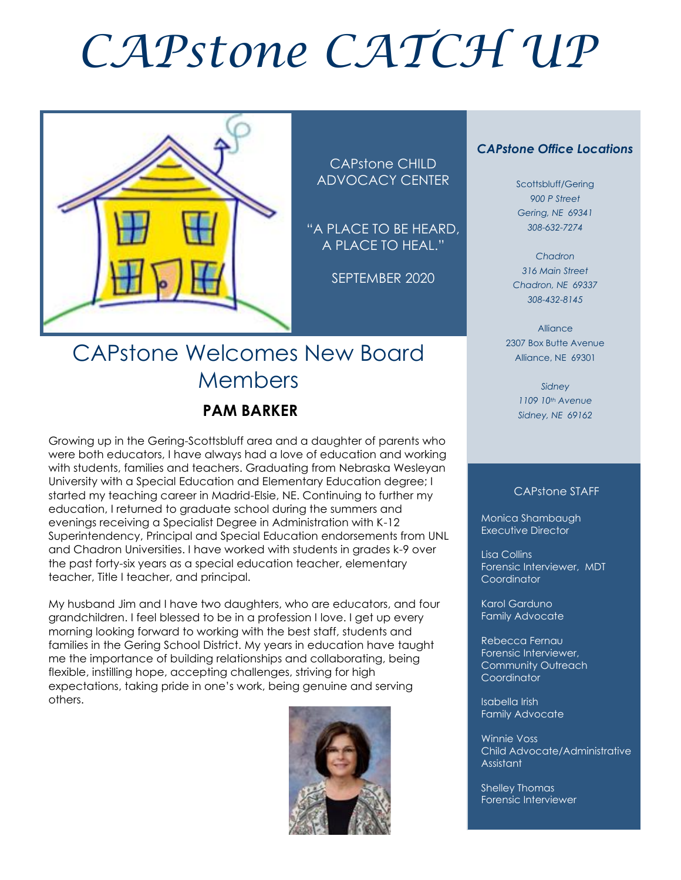# *CAPstone CATCH UP*



CAPstone CHILD ADVOCACY CENTER

"A PLACE TO BE HEARD, A PLACE TO HEAL."

SEPTEMBER 2020

# CAPstone Welcomes New Board Members

### **PAM BARKER**

Growing up in the Gering-Scottsbluff area and a daughter of parents who were both educators, I have always had a love of education and working with students, families and teachers. Graduating from Nebraska Wesleyan University with a Special Education and Elementary Education degree; I started my teaching career in Madrid-Elsie, NE. Continuing to further my education, I returned to graduate school during the summers and evenings receiving a Specialist Degree in Administration with K-12 Superintendency, Principal and Special Education endorsements from UNL and Chadron Universities. I have worked with students in grades k-9 over the past forty-six years as a special education teacher, elementary teacher, Title I teacher, and principal.

My husband Jim and I have two daughters, who are educators, and four grandchildren. I feel blessed to be in a profession I love. I get up every morning looking forward to working with the best staff, students and families in the Gering School District. My years in education have taught me the importance of building relationships and collaborating, being flexible, instilling hope, accepting challenges, striving for high expectations, taking pride in one's work, being genuine and serving others.



#### *CAPstone Office Locations*

Scottsbluff/Gering *900 P Street Gering, NE 69341 308-632-7274*

*Chadron 316 Main Street Chadron, NE 69337 308-432-8145*

Alliance 2307 Box Butte Avenue Alliance, NE 69301

> *Sidney 1109 10th Avenue Sidney, NE 69162*

#### CAPstone STAFF

Monica Shambaugh Executive Director

Lisa Collins Forensic Interviewer, MDT **Coordinator** 

Karol Garduno Family Advocate

Rebecca Fernau Forensic Interviewer, Community Outreach Coordinator

Isabella Irish Family Advocate

Winnie Voss Child Advocate/Administrative Assistant

Shelley Thomas Forensic Interviewer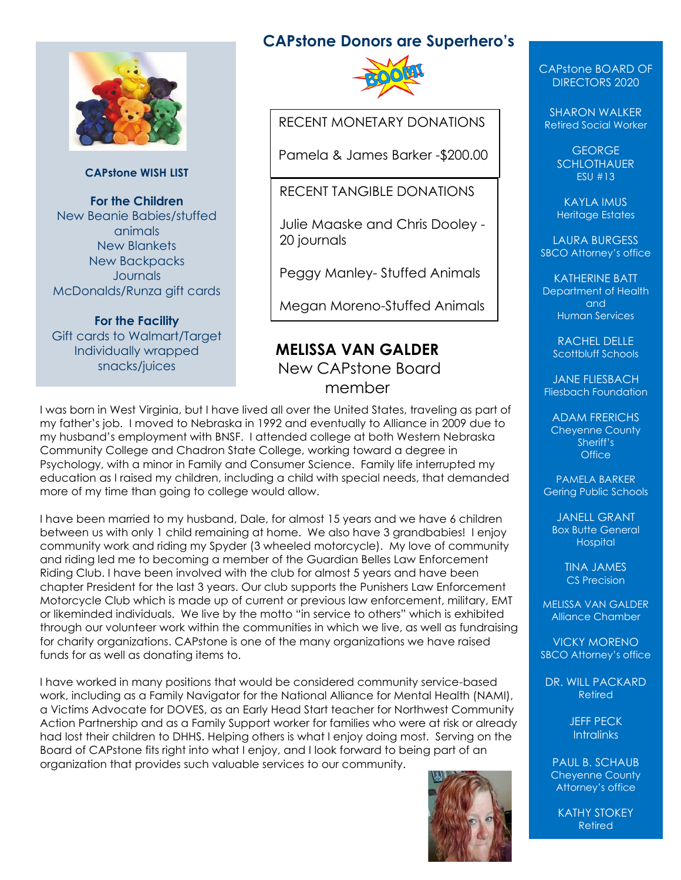

#### **CAPstone WISH LIST**

**For the Children** New Beanie Babies/stuffed animals New Blankets New Backpacks **Journals** McDonalds/Runza gift cards

**For the Facility** Gift cards to Walmart/Target Individually wrapped snacks/juices

#### **CAPstone Donors are Superhero's**



RECENT MONETARY DONATIONS

Pamela & James Barker -\$200.00

#### RECENT TANGIBLE DONATIONS

Julie Maaske and Chris Dooley - 20 journals

Peggy Manley- Stuffed Animals

Megan Moreno-Stuffed Animals

#### **MELISSA VAN GALDER** New CAPstone Board member

I was born in West Virginia, but I have lived all over the United States, traveling as part of my father's job. I moved to Nebraska in 1992 and eventually to Alliance in 2009 due to my husband's employment with BNSF. I attended college at both Western Nebraska Community College and Chadron State College, working toward a degree in Psychology, with a minor in Family and Consumer Science. Family life interrupted my education as I raised my children, including a child with special needs, that demanded more of my time than going to college would allow.

I have been married to my husband, Dale, for almost 15 years and we have 6 children between us with only 1 child remaining at home. We also have 3 grandbabies! I enjoy community work and riding my Spyder (3 wheeled motorcycle). My love of community and riding led me to becoming a member of the Guardian Belles Law Enforcement Riding Club. I have been involved with the club for almost 5 years and have been chapter President for the last 3 years. Our club supports the Punishers Law Enforcement Motorcycle Club which is made up of current or previous law enforcement, military, EMT or likeminded individuals. We live by the motto "in service to others" which is exhibited through our volunteer work within the communities in which we live, as well as fundraising for charity organizations. CAPstone is one of the many organizations we have raised funds for as well as donating items to.

I have worked in many positions that would be considered community service-based work, including as a Family Navigator for the National Alliance for Mental Health (NAMI), a Victims Advocate for DOVES, as an Early Head Start teacher for Northwest Community Action Partnership and as a Family Support worker for families who were at risk or already had lost their children to DHHS. Helping others is what I enjoy doing most. Serving on the Board of CAPstone fits right into what I enjoy, and I look forward to being part of an organization that provides such valuable services to our community.



CAPstone BOARD OF DIRECTORS 2020

SHARON WALKER Retired Social Worker

> GEORGE **SCHLOTHAUER** ESU #13

KAYLA IMUS Heritage Estates

LAURA BURGESS SBCO Attorney's office

KATHERINE BATT Department of Health and Human Services

RACHEL DELLE Scottbluff Schools

JANE FLIESBACH Fliesbach Foundation

ADAM FRERICHS Cheyenne County Sheriff's **Office** 

PAMELA BARKER Gering Public Schools

JANELL GRANT Box Butte General **Hospital** 

> TINA JAMES CS Precision

MELISSA VAN GALDER Alliance Chamber

VICKY MORENO SBCO Attorney's office

DR. WILL PACKARD Retired

> JEFF PECK **Intralinks**

PAUL B. SCHAUB Cheyenne County Attorney's office

KATHY STOKEY Retired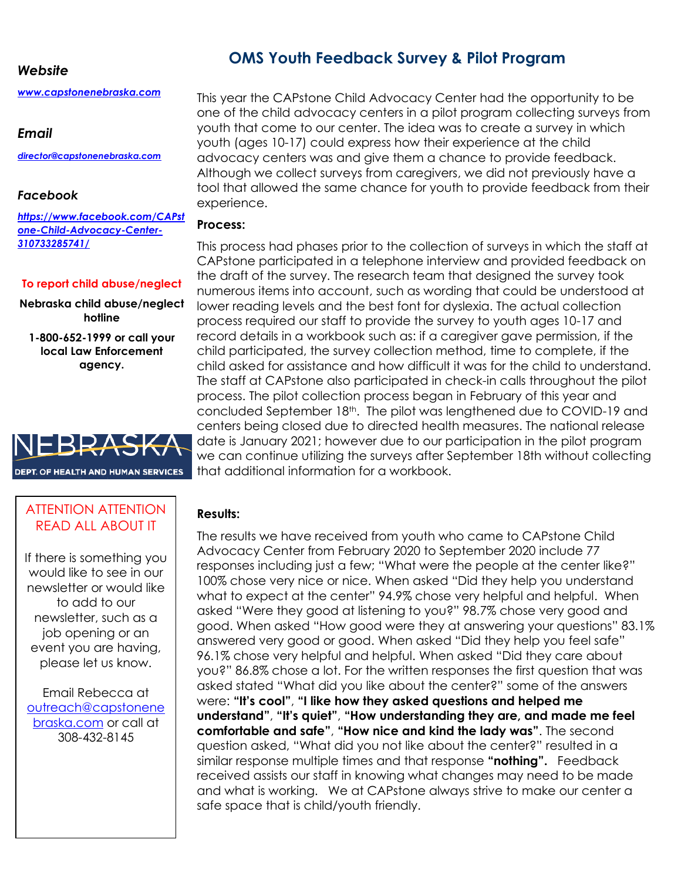#### *Website*

*[www.capstonenebraska.com](http://www.capstonenebraska.com/)*

#### *Email*

*[director@capstonenebraska.com](mailto:director@capstonenebraska.com)*

#### *Facebook*

*[https://www.facebook.com/CAPst](https://www.facebook.com/CAPstone-Child-Advocacy-Center-310733285741/) [one-Child-Advocacy-Center-](https://www.facebook.com/CAPstone-Child-Advocacy-Center-310733285741/)[310733285741/](https://www.facebook.com/CAPstone-Child-Advocacy-Center-310733285741/)*

#### **To report child abuse/neglect**

**Nebraska child abuse/neglect hotline**

**1-800-652-1999 or call your local Law Enforcement agency.**



### **OMS Youth Feedback Survey & Pilot Program**

This year the CAPstone Child Advocacy Center had the opportunity to be one of the child advocacy centers in a pilot program collecting surveys from youth that come to our center. The idea was to create a survey in which youth (ages 10-17) could express how their experience at the child advocacy centers was and give them a chance to provide feedback. Although we collect surveys from caregivers, we did not previously have a tool that allowed the same chance for youth to provide feedback from their experience.

#### **Process:**

This process had phases prior to the collection of surveys in which the staff at CAPstone participated in a telephone interview and provided feedback on the draft of the survey. The research team that designed the survey took numerous items into account, such as wording that could be understood at lower reading levels and the best font for dyslexia. The actual collection process required our staff to provide the survey to youth ages 10-17 and record details in a workbook such as: if a caregiver gave permission, if the child participated, the survey collection method, time to complete, if the child asked for assistance and how difficult it was for the child to understand. The staff at CAPstone also participated in check-in calls throughout the pilot process. The pilot collection process began in February of this year and concluded September 18th. The pilot was lengthened due to COVID-19 and centers being closed due to directed health measures. The national release date is January 2021; however due to our participation in the pilot program we can continue utilizing the surveys after September 18th without collecting that additional information for a workbook.

#### **Results:**

The results we have received from youth who came to CAPstone Child Advocacy Center from February 2020 to September 2020 include 77 responses including just a few; "What were the people at the center like?" 100% chose very nice or nice. When asked "Did they help you understand what to expect at the center" 94.9% chose very helpful and helpful. When asked "Were they good at listening to you?" 98.7% chose very good and good. When asked "How good were they at answering your questions" 83.1% answered very good or good. When asked "Did they help you feel safe" 96.1% chose very helpful and helpful. When asked "Did they care about you?" 86.8% chose a lot. For the written responses the first question that was asked stated "What did you like about the center?" some of the answers were: **"It's cool"**, **"I like how they asked questions and helped me understand"**, **"It's quiet"**, **"How understanding they are, and made me feel comfortable and safe"**, **"How nice and kind the lady was"**. The second question asked, "What did you not like about the center?" resulted in a similar response multiple times and that response **"nothing".** Feedback received assists our staff in knowing what changes may need to be made and what is working. We at CAPstone always strive to make our center a safe space that is child/youth friendly.



If there is something you would like to see in our newsletter or would like to add to our newsletter, such as a job opening or an event you are having, please let us know.

Email Rebecca at [outreach@capstonene](mailto:outreach@capstonenebraska.com) [braska.com](mailto:outreach@capstonenebraska.com) or call at 308-432-8145

Page 2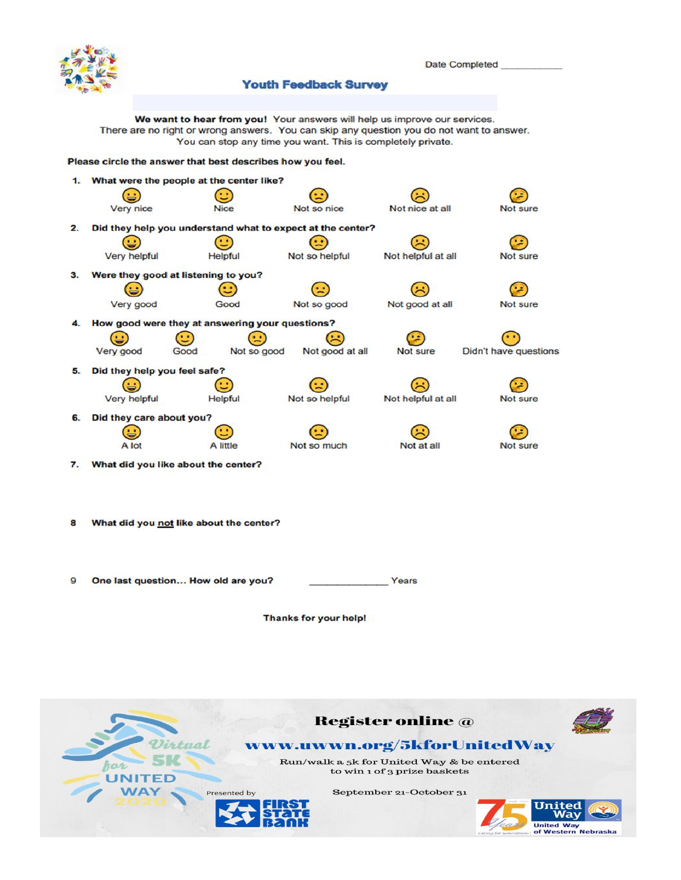

#### Date Completed

#### **Youth Feedback Survey**

We want to hear from you! Your answers will help us improve our services. There are no right or wrong answers. You can skip any question you do not want to answer. You can stop any time you want. This is completely private.

#### Please circle the answer that best describes how you feel.



Thanks for your help!

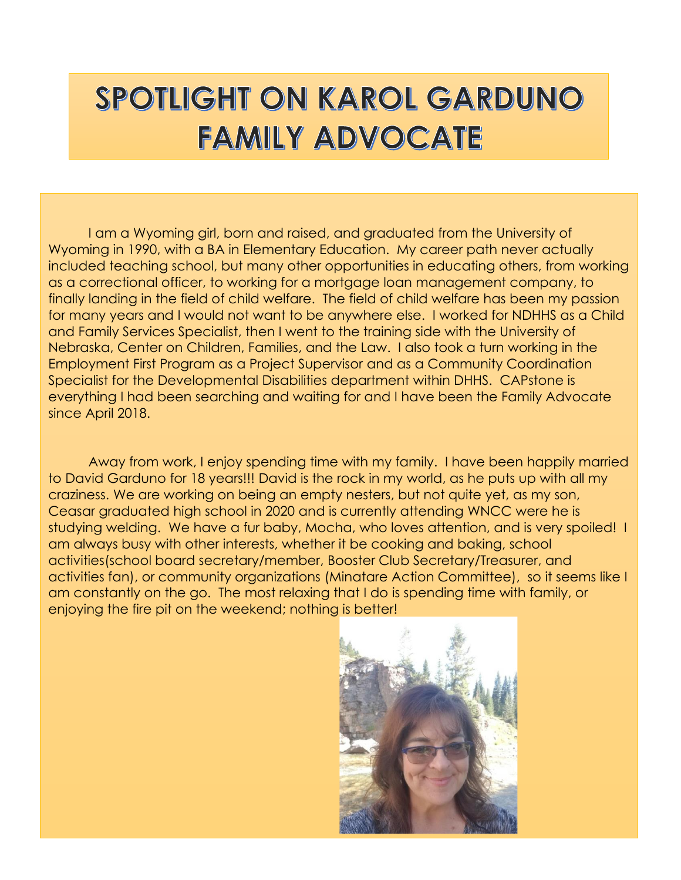# SPOTLIGHT ON KAROL GARDUNO **FAMILY ADVOCATE**

I am a Wyoming girl, born and raised, and graduated from the University of Wyoming in 1990, with a BA in Elementary Education. My career path never actually included teaching school, but many other opportunities in educating others, from working as a correctional officer, to working for a mortgage loan management company, to finally landing in the field of child welfare. The field of child welfare has been my passion for many years and I would not want to be anywhere else. I worked for NDHHS as a Child and Family Services Specialist, then I went to the training side with the University of Nebraska, Center on Children, Families, and the Law. I also took a turn working in the Employment First Program as a Project Supervisor and as a Community Coordination Specialist for the Developmental Disabilities department within DHHS. CAPstone is everything I had been searching and waiting for and I have been the Family Advocate since April 2018.

Away from work, I enjoy spending time with my family. I have been happily married to David Garduno for 18 years!!! David is the rock in my world, as he puts up with all my craziness. We are working on being an empty nesters, but not quite yet, as my son, Ceasar graduated high school in 2020 and is currently attending WNCC were he is studying welding. We have a fur baby, Mocha, who loves attention, and is very spoiled! I am always busy with other interests, whether it be cooking and baking, school activities(school board secretary/member, Booster Club Secretary/Treasurer, and activities fan), or community organizations (Minatare Action Committee), so it seems like I am constantly on the go. The most relaxing that I do is spending time with family, or enjoying the fire pit on the weekend; nothing is better!

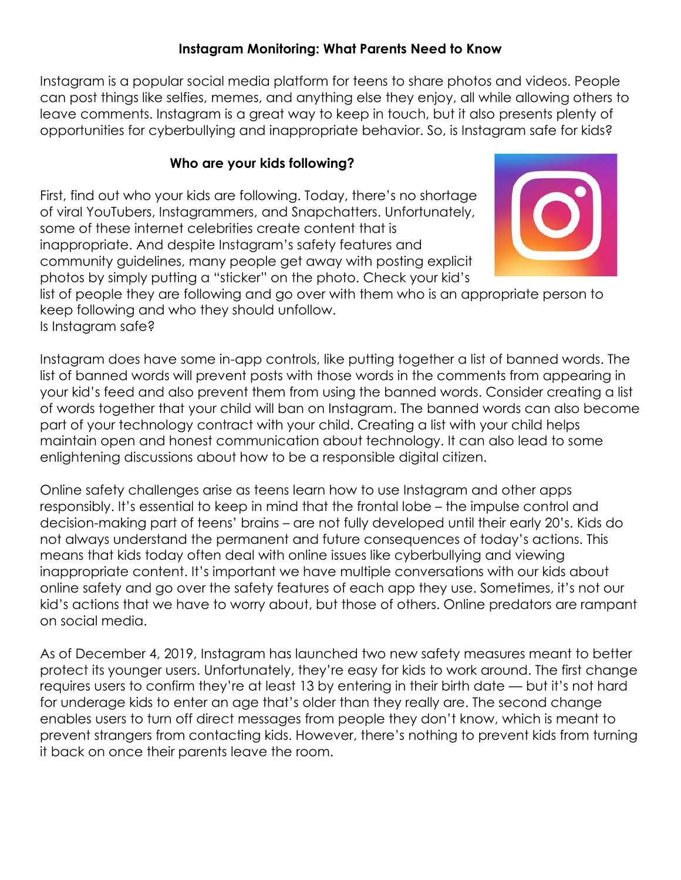#### **Instagram Monitoring: What Parents Need to Know**

Instagram is a popular social media platform for teens to share photos and videos. People can post things like selfies, memes, and anything else they enjoy, all while allowing others to leave comments. Instagram is a great way to keep in touch, but it also presents plenty of opportunities for cyberbullying and inappropriate behavior. So, is Instagram safe for kids?

#### **Who are your kids following?**

First, find out who your kids are following. Today, there's no shortage of viral YouTubers, Instagrammers, and Snapchatters. Unfortunately, some of these internet celebrities create content that is inappropriate. And despite Instagram's safety features and community guidelines, many people get away with posting explicit photos by simply putting a "sticker" on the photo. Check your kid's



list of people they are following and go over with them who is an appropriate person to keep following and who they should unfollow.

Is Instagram safe?

Instagram does have some in-app controls, like putting together a list of banned words. The list of banned words will prevent posts with those words in the comments from appearing in your kid's feed and also prevent them from using the banned words. Consider creating a list of words together that your child will ban on Instagram. The banned words can also become part of your technology contract with your child. Creating a list with your child helps maintain open and honest communication about technology. It can also lead to some enlightening discussions about how to be a responsible digital citizen.

Online safety challenges arise as teens learn how to use Instagram and other apps responsibly. It's essential to keep in mind that the frontal lobe – the impulse control and decision-making part of teens' brains – are not fully developed until their early 20's. Kids do not always understand the permanent and future consequences of today's actions. This means that kids today often deal with online issues like cyberbullying and viewing inappropriate content. It's important we have multiple conversations with our kids about online safety and go over the safety features of each app they use. Sometimes, it's not our kid's actions that we have to worry about, but those of others. Online predators are rampant on social media.

As of December 4, 2019, Instagram has launched two new safety measures meant to better protect its younger users. Unfortunately, they're easy for kids to work around. The first change requires users to confirm they're at least 13 by entering in their birth date — but it's not hard for underage kids to enter an age that's older than they really are. The second change enables users to turn off direct messages from people they don't know, which is meant to prevent strangers from contacting kids. However, there's nothing to prevent kids from turning it back on once their parents leave the room.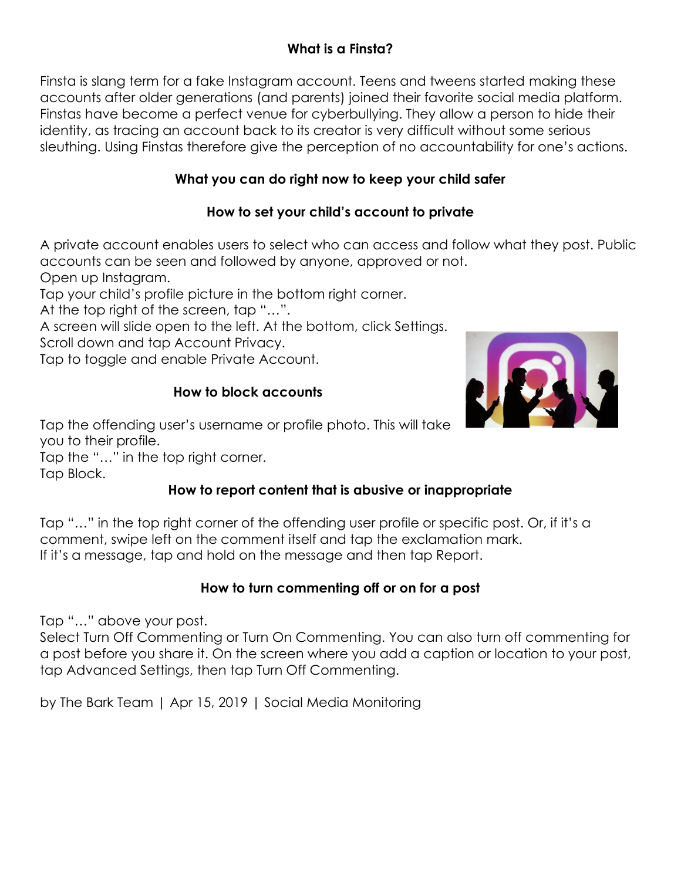### **What is a Finsta?**

Finsta is slang term for a fake Instagram account. Teens and tweens started making these accounts after older generations (and parents) joined their favorite social media platform. Finstas have become a perfect venue for cyberbullying. They allow a person to hide their identity, as tracing an account back to its creator is very difficult without some serious sleuthing. Using Finstas therefore give the perception of no accountability for one's actions.

#### **What you can do right now to keep your child safer**

#### **How to set your child's account to private**

A private account enables users to select who can access and follow what they post. Public accounts can be seen and followed by anyone, approved or not.

Open up Instagram.

Tap your child's profile picture in the bottom right corner.

At the top right of the screen, tap "…".

A screen will slide open to the left. At the bottom, click Settings. Scroll down and tap Account Privacy.

Tap to toggle and enable Private Account.

#### **How to block accounts**



Tap the offending user's username or profile photo. This will take you to their profile.

Tap the "…" in the top right corner.

Tap Block.

### **How to report content that is abusive or inappropriate**

Tap "…" in the top right corner of the offending user profile or specific post. Or, if it's a comment, swipe left on the comment itself and tap the exclamation mark. If it's a message, tap and hold on the message and then tap Report.

#### **How to turn commenting off or on for a post**

Tap "…" above your post.

Select Turn Off Commenting or Turn On Commenting. You can also turn off commenting for a post before you share it. On the screen where you add a caption or location to your post, tap Advanced Settings, then tap Turn Off Commenting.

by The Bark Team | Apr 15, 2019 | Social Media Monitoring